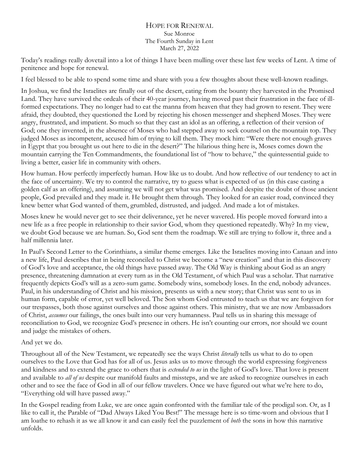## HOPE FOR RENEWAL Sue Monroe The Fourth Sunday in Lent March 27, 2022

Today's readings really dovetail into a lot of things I have been mulling over these last few weeks of Lent. A time of penitence and hope for renewal.

I feel blessed to be able to spend some time and share with you a few thoughts about these well-known readings.

In Joshua, we find the Israelites are finally out of the desert, eating from the bounty they harvested in the Promised Land. They have survived the ordeals of their 40-year journey, having moved past their frustration in the face of illformed expectations. They no longer had to eat the manna from heaven that they had grown to resent. They were afraid, they doubted, they questioned the Lord by rejecting his chosen messenger and shepherd Moses. They were angry, frustrated, and impatient. So much so that they cast an idol as an offering, a reflection of their version of God; one they invented, in the absence of Moses who had stepped away to seek counsel on the mountain top. They judged Moses as incompetent, accused him of trying to kill them. They mock him: "Were there not enough graves in Egypt that you brought us out here to die in the desert?" The hilarious thing here is, Moses comes down the mountain carrying the Ten Commandments, the foundational list of "how to behave," the quintessential guide to living a better, easier life in community with others.

How human. How perfectly imperfectly human. How like us to doubt. And how reflective of our tendency to act in the face of uncertainty. We try to control the narrative, try to guess what is expected of us (in this case casting a golden calf as an offering), and assuming we will not get what was promised. And despite the doubt of those ancient people, God prevailed and they made it. He brought them through. They looked for an easier road, convinced they knew better what God wanted of them, grumbled, distrusted, and judged. And made a lot of mistakes.

Moses knew he would never get to see their deliverance, yet he never wavered. His people moved forward into a new life as a free people in relationship to their savior God, whom they questioned repeatedly. Why? In my view, we doubt God because we are human. So, God sent them the roadmap. We still are trying to follow it, three and a half millennia later.

In Paul's Second Letter to the Corinthians, a similar theme emerges. Like the Israelites moving into Canaan and into a new life, Paul describes that in being reconciled to Christ we become a "new creation" and that in this discovery of God's love and acceptance, the old things have passed away. The Old Way is thinking about God as an angry presence, threatening damnation at every turn as in the Old Testament, of which Paul was a scholar. That narrative frequently depicts God's will as a zero-sum game. Somebody wins, somebody loses. In the end, nobody advances. Paul, in his understanding of Christ and his mission, presents us with a new story; that Christ was sent to us in human form, capable of error, yet well beloved. The Son whom God entrusted to teach us that we are forgiven for our trespasses, both those against ourselves and those against others. This ministry, that we are now Ambassadors of Christ, *assumes* our failings, the ones built into our very humanness. Paul tells us in sharing this message of reconciliation to God, we recognize God's presence in others. He isn't counting our errors, nor should we count and judge the mistakes of others.

## And yet we do.

Throughout all of the New Testament, we repeatedly see the ways Christ *literally* tells us what to do to open ourselves to the Love that God has for all of us. Jesus asks us to move through the world expressing forgiveness and kindness and to extend the grace to others that is *extended to us* in the light of God's love. That love is present and available to *all of us* despite our manifold faults and missteps, and we are asked to recognize ourselves in each other and to see the face of God in all of our fellow travelers. Once we have figured out what we're here to do, "Everything old will have passed away."

In the Gospel reading from Luke, we are once again confronted with the familiar tale of the prodigal son. Or, as I like to call it, the Parable of "Dad Always Liked You Best!" The message here is so time-worn and obvious that I am loathe to rehash it as we all know it and can easily feel the puzzlement of *both* the sons in how this narrative unfolds.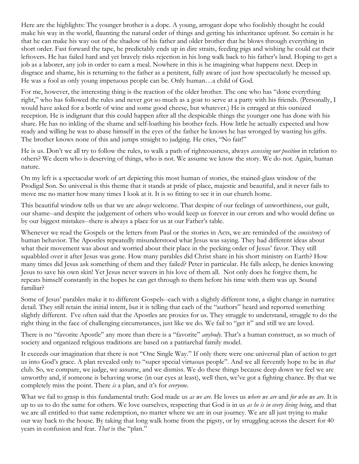Here are the highlights: The younger brother is a dope. A young, arrogant dope who foolishly thought he could make his way in the world, flaunting the natural order of things and getting his inheritance upfront. So certain is he that he can make his way out of the shadow of his father and older brother that he blows through everything in short order. Fast forward the tape, he predictably ends up in dire straits, feeding pigs and wishing he could eat their leftovers. He has failed hard and yet bravely risks rejection in his long walk back to his father's land. Hoping to get a job as a laborer, any job in order to earn a meal. Nowhere in this is he imagining what happens next. Deep in disgrace and shame, his is returning to the father as a penitent, fully aware of just how spectacularly he messed up. He was a fool as only young impetuous people can be. Only human…a child of God.

For me, however, the interesting thing is the reaction of the older brother. The one who has "done everything right," who has followed the rules and never got so much as a goat to serve at a party with his friends. (Personally, I would have asked for a bottle of wine and some good cheese, but whatever.) He is enraged at this outsized reception. He is indignant that this could happen after all the despicable things the younger one has done with his share. He has no inkling of the shame and self-loathing his brother feels. How little he actually expected and how ready and willing he was to abase himself in the eyes of the father he knows he has wronged by wasting his gifts. The brother knows none of this and jumps straight to judging. He cries, "No fair!"

He is us. Don't we all try to follow the rules, to walk a path of righteousness, always *assessing our position* in relation to others? We deem who is deserving of things, who is not. We assume we know the story. We do not. Again, human nature.

On my left is a spectacular work of art depicting this most human of stories, the stained-glass window of the Prodigal Son. So universal is this theme that it stands at pride of place, majestic and beautiful, and it never fails to move me no matter how many times I look at it. It is so fitting to see it in our church home.

This beautiful window tells us that we are *always* welcome. That despite of our feelings of unworthiness, our guilt, our shame--and despite the judgement of others who would keep us forever in our errors and who would define us by our biggest mistakes--there is always a place for us at our Father's table.

Whenever we read the Gospels or the letters from Paul or the stories in Acts, we are reminded of the *consistency* of human behavior. The Apostles repeatedly misunderstood what Jesus was saying. They had different ideas about what their movement was about and worried about their place in the pecking order of Jesus' favor. They still squabbled over it after Jesus was gone. How many parables did Christ share in his short ministry on Earth? How many times did Jesus ask something of them and they failed? Peter in particular. He falls asleep, he denies knowing Jesus to save his own skin! Yet Jesus never wavers in his love of them all. Not only does he forgive them, he repeats himself constantly in the hopes he can get through to them before his time with them was up. Sound familiar?

Some of Jesus' parables make it to different Gospels--each with a slightly different tone, a slight change in narrative detail. They still retain the initial intent, but it is telling that each of the "authors" heard and reported something slightly different. I've often said that the Apostles are proxies for us. They struggle to understand, struggle to do the right thing in the face of challenging circumstances, just like we do. We fail to "get it" and still we are loved.

There is no "favorite Apostle" any more than there is a "favorite" *anybody*. That's a human construct, as so much of society and organized religious traditions are based on a patriarchal family model.

It exceeds our imagination that there is not "One Single Way." If only there were one universal plan of action to get us into God's grace. A plan revealed only to "super special virtuous people". And we all fervently hope to be in *that* club. So, we compare, we judge, we assume, and we dismiss. We do these things because deep down we feel we are unworthy and, if someone is behaving worse (in our eyes at least), well then, we've got a fighting chance. By that we completely miss the point. There *is* a plan, and it's for *everyone*.

What we fail to grasp is this fundamental truth: God made us *as we are*. He loves us *where we are* and *for who we are*. It is up to us to do the same for others. We love ourselves, respecting that God is in us *as he is in every living being*, and that we are all entitled to that same redemption, no matter where we are in our journey. We are all just trying to make our way back to the house. By taking that long walk home from the pigsty, or by struggling across the desert for 40 years in confusion and fear. *That* is the "plan."